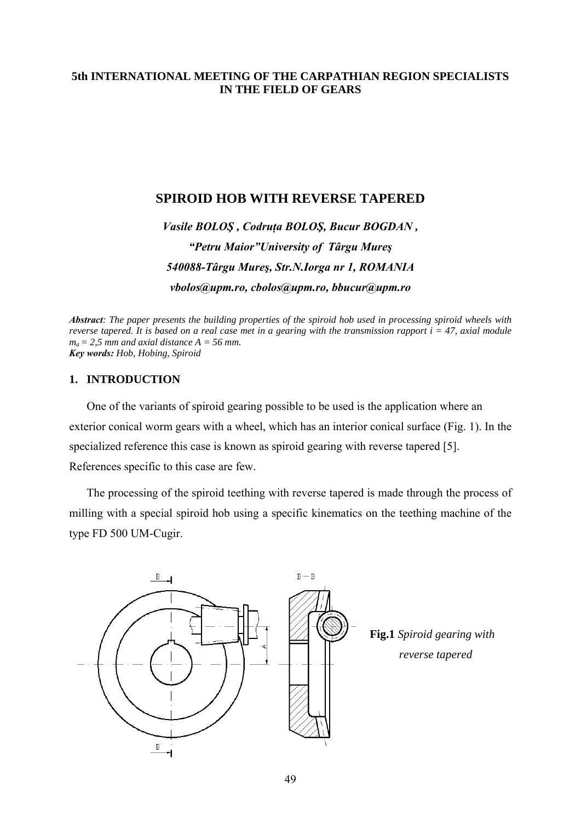## **5th INTERNATIONAL MEETING OF THE CARPATHIAN REGION SPECIALISTS IN THE FIELD OF GEARS**

## **SPIROID HOB WITH REVERSE TAPERED**

*Vasile BOLOŞ , Codruţa BOLOŞ, Bucur BOGDAN , "Petru Maior"University of Târgu Mureş 540088-Târgu Mureş, Str.N.Iorga nr 1, ROMANIA vbolos@upm.ro, cbolos@upm.ro, bbucur@upm.ro* 

*Abstract: The paper presents the building properties of the spiroid hob used in processing spiroid wheels with reverse tapered. It is based on a real case met in a gearing with the transmission rapport*  $i = 47$ *, axial module*  $m_a = 2.5$  *mm and axial distance*  $A = 56$  *mm. Key words: Hob, Hobing, Spiroid* 

### **1. INTRODUCTION**

One of the variants of spiroid gearing possible to be used is the application where an exterior conical worm gears with a wheel, which has an interior conical surface (Fig. 1). In the specialized reference this case is known as spiroid gearing with reverse tapered [5]. References specific to this case are few.

The processing of the spiroid teething with reverse tapered is made through the process of milling with a special spiroid hob using a specific kinematics on the teething machine of the type FD 500 UM-Cugir.

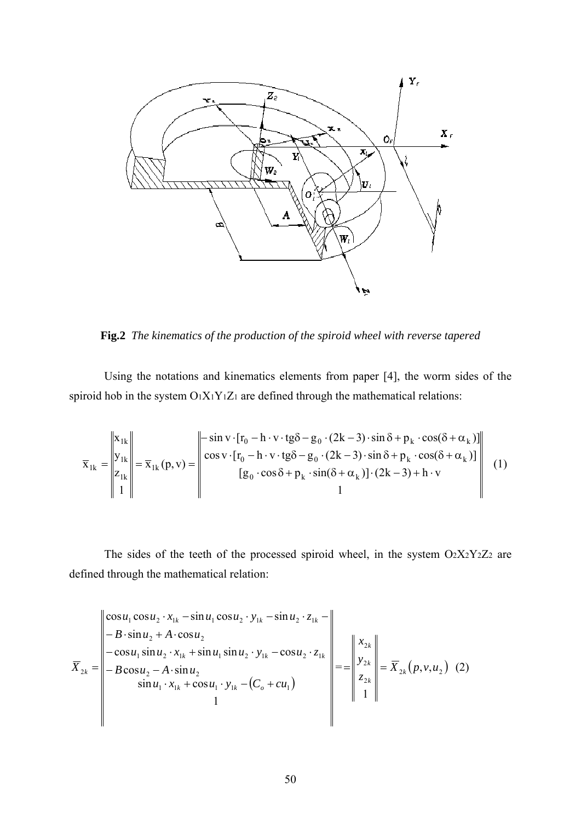

**Fig.2** *The kinematics of the production of the spiroid wheel with reverse tapered* 

Using the notations and kinematics elements from paper [4], the worm sides of the spiroid hob in the system  $O_1X_1Y_1Z_1$  are defined through the mathematical relations:

$$
\overline{\mathbf{x}}_{1k} = \begin{vmatrix} \mathbf{x}_{1k} \\ \mathbf{y}_{1k} \\ \mathbf{z}_{1k} \\ 1 \end{vmatrix} = \overline{\mathbf{x}}_{1k}(\mathbf{p}, \mathbf{v}) = \begin{vmatrix} -\sin \mathbf{v} \cdot [\mathbf{r}_0 - \mathbf{h} \cdot \mathbf{v} \cdot \mathbf{tg\delta} - \mathbf{g}_0 \cdot (2\mathbf{k} - 3) \cdot \sin \delta + \mathbf{p}_k \cdot \cos(\delta + \alpha_k)] \\ \cos \mathbf{v} \cdot [\mathbf{r}_0 - \mathbf{h} \cdot \mathbf{v} \cdot \mathbf{tg\delta} - \mathbf{g}_0 \cdot (2\mathbf{k} - 3) \cdot \sin \delta + \mathbf{p}_k \cdot \cos(\delta + \alpha_k)] \\ \left[ \mathbf{g}_0 \cdot \cos \delta + \mathbf{p}_k \cdot \sin(\delta + \alpha_k) \right] \cdot (2\mathbf{k} - 3) + \mathbf{h} \cdot \mathbf{v} \end{vmatrix} \tag{1}
$$

The sides of the teeth of the processed spiroid wheel, in the system  $O<sub>2</sub>X<sub>2</sub>Y<sub>2</sub>Z<sub>2</sub>$  are defined through the mathematical relation:

$$
\overline{X}_{2k} = \begin{vmatrix}\n\cos u_1 \cos u_2 \cdot x_{1k} - \sin u_1 \cos u_2 \cdot y_{1k} - \sin u_2 \cdot z_{1k} - \\
- B \cdot \sin u_2 + A \cdot \cos u_2 \\
- \cos u_1 \sin u_2 \cdot x_{1k} + \sin u_1 \sin u_2 \cdot y_{1k} - \cos u_2 \cdot z_{1k} \\
- B \cos u_2 - A \cdot \sin u_2 \\
\sin u_1 \cdot x_{1k} + \cos u_1 \cdot y_{1k} - (C_o + cu_1)\n\end{vmatrix} = \begin{vmatrix}\nx_{2k} \\
y_{2k} \\
z_{2k} \\
1\n\end{vmatrix} = \overline{X}_{2k}(p, v, u_2)
$$
 (2)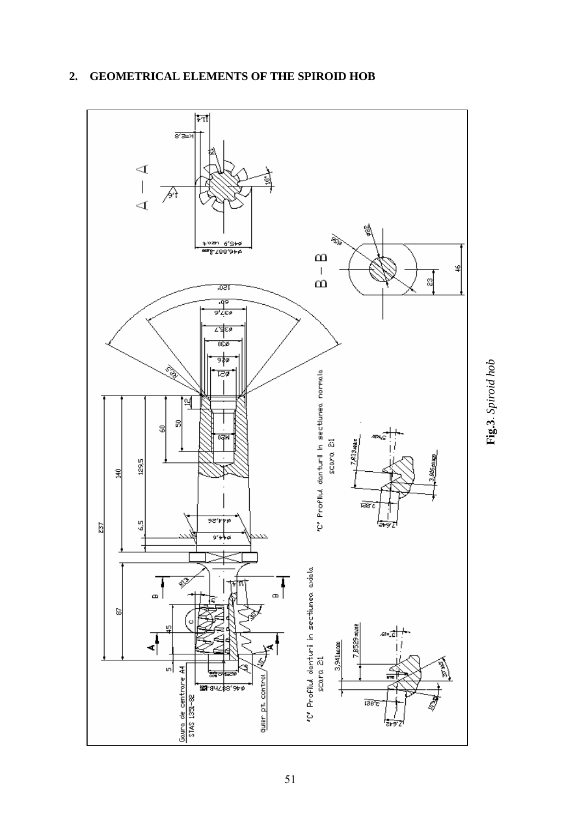

# **2. GEOMETRICAL ELEMENTS OF THE SPIROID HOB**